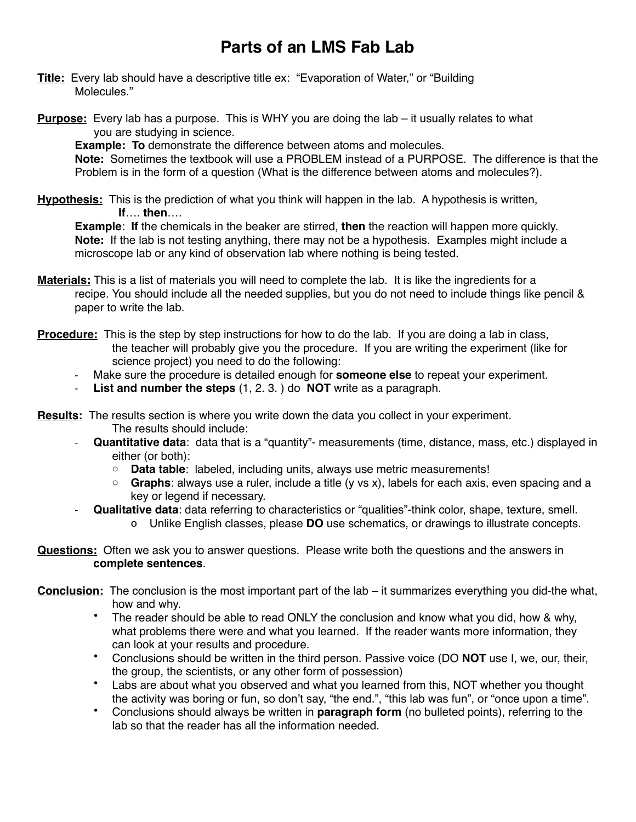# **Parts of an LMS Fab Lab**

- **Title:** Every lab should have a descriptive title ex: "Evaporation of Water," or "Building Molecules."
- **Purpose:** Every lab has a purpose. This is WHY you are doing the lab it usually relates to what you are studying in science.

**Example: To** demonstrate the difference between atoms and molecules.

**Note:** Sometimes the textbook will use a PROBLEM instead of a PURPOSE. The difference is that the Problem is in the form of a question (What is the difference between atoms and molecules?).

**Hypothesis:** This is the prediction of what you think will happen in the lab. A hypothesis is written, ! ! **If**…. **then**….

**Example**: **If** the chemicals in the beaker are stirred, **then** the reaction will happen more quickly. **Note:** If the lab is not testing anything, there may not be a hypothesis. Examples might include a microscope lab or any kind of observation lab where nothing is being tested.

- **Materials:** This is a list of materials you will need to complete the lab. It is like the ingredients for a recipe. You should include all the needed supplies, but you do not need to include things like pencil & paper to write the lab.
- **Procedure:** This is the step by step instructions for how to do the lab. If you are doing a lab in class, the teacher will probably give you the procedure. If you are writing the experiment (like for science project) you need to do the following:
	- Make sure the procedure is detailed enough for **someone else** to repeat your experiment.
	- List and number the steps (1, 2. 3.) do **NOT** write as a paragraph.
- **Results:** The results section is where you write down the data you collect in your experiment. The results should include:
	- **Quantitative data**: data that is a "quantity"- measurements (time, distance, mass, etc.) displayed in either (or both):
		- o **Data table**: labeled, including units, always use metric measurements!
		- o **Graphs**: always use a ruler, include a title (y vs x), labels for each axis, even spacing and a key or legend if necessary.
		- **Qualitative data**: data referring to characteristics or "qualities"-think color, shape, texture, smell.
			- o Unlike English classes, please **DO** use schematics, or drawings to illustrate concepts.
- **Questions:** Often we ask you to answer questions. Please write both the questions and the answers in **complete sentences**.
- **Conclusion:** The conclusion is the most important part of the lab it summarizes everything you did-the what, how and why.
	- The reader should be able to read ONLY the conclusion and know what you did, how & why, what problems there were and what you learned. If the reader wants more information, they can look at your results and procedure.
	- Conclusions should be written in the third person. Passive voice (DO **NOT** use I, we, our, their, the group, the scientists, or any other form of possession)
	- Labs are about what you observed and what you learned from this, NOT whether you thought the activity was boring or fun, so don't say, "the end.", "this lab was fun", or "once upon a time".
	- Conclusions should always be written in **paragraph form** (no bulleted points), referring to the lab so that the reader has all the information needed.